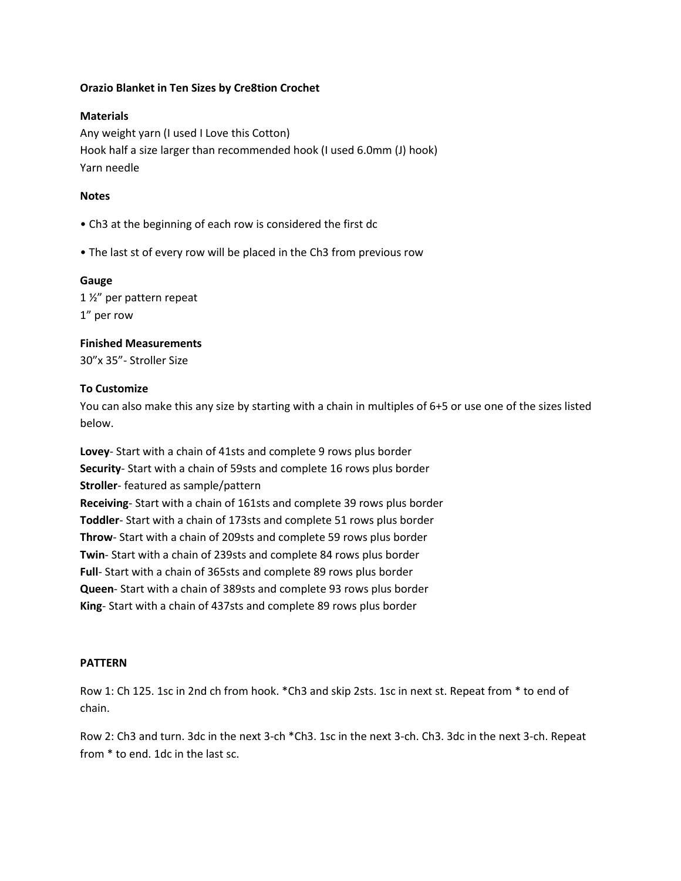## **Orazio Blanket in Ten Sizes by Cre8tion Crochet**

### **Materials**

Any weight yarn (I used I Love this Cotton) Hook half a size larger than recommended hook (I used 6.0mm (J) hook) Yarn needle

### **Notes**

- Ch3 at the beginning of each row is considered the first dc
- The last st of every row will be placed in the Ch3 from previous row

#### **Gauge**

1 ½" per pattern repeat 1" per row

# **Finished Measurements** 30"x 35"- Stroller Size

### **To Customize**

You can also make this any size by starting with a chain in multiples of 6+5 or use one of the sizes listed below.

**Lovey**- Start with a chain of 41sts and complete 9 rows plus border **Security**- Start with a chain of 59sts and complete 16 rows plus border **Stroller**- featured as sample/pattern **Receiving**- Start with a chain of 161sts and complete 39 rows plus border **Toddler**- Start with a chain of 173sts and complete 51 rows plus border **Throw**- Start with a chain of 209sts and complete 59 rows plus border **Twin**- Start with a chain of 239sts and complete 84 rows plus border **Full**- Start with a chain of 365sts and complete 89 rows plus border **Queen**- Start with a chain of 389sts and complete 93 rows plus border **King**- Start with a chain of 437sts and complete 89 rows plus border

#### **PATTERN**

Row 1: Ch 125. 1sc in 2nd ch from hook. \*Ch3 and skip 2sts. 1sc in next st. Repeat from \* to end of chain.

Row 2: Ch3 and turn. 3dc in the next 3-ch \*Ch3. 1sc in the next 3-ch. Ch3. 3dc in the next 3-ch. Repeat from \* to end. 1dc in the last sc.